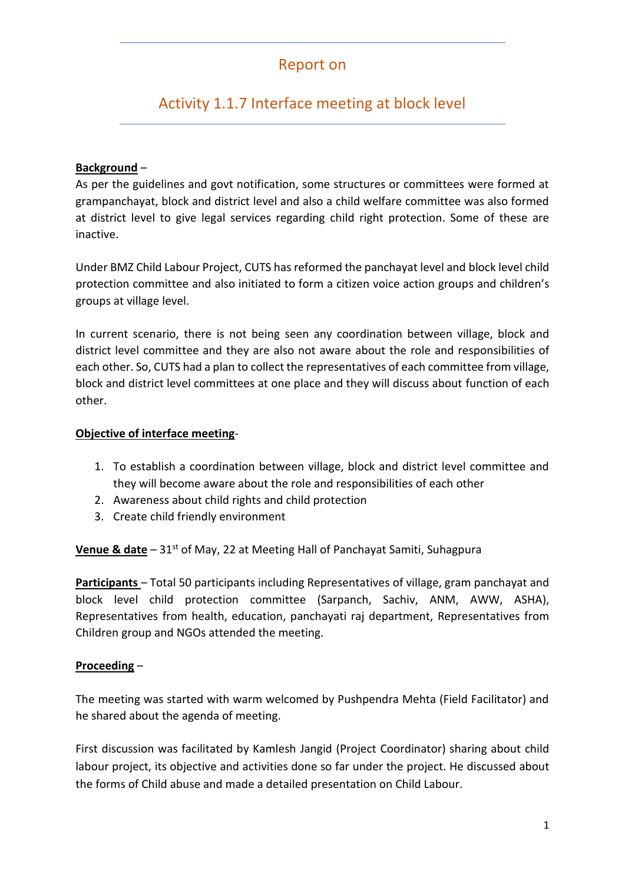## Report on

# Activity 1.1.7 Interface meeting at block level

#### **Background** –

As per the guidelines and govt notification, some structures or committees were formed at grampanchayat, block and district level and also a child welfare committee was also formed at district level to give legal services regarding child right protection. Some of these are inactive.

Under BMZ Child Labour Project, CUTS has reformed the panchayat level and block level child protection committee and also initiated to form a citizen voice action groups and children's groups at village level.

In current scenario, there is not being seen any coordination between village, block and district level committee and they are also not aware about the role and responsibilities of each other. So, CUTS had a plan to collect the representatives of each committee from village, block and district level committees at one place and they will discuss about function of each other.

#### **Objective of interface meeting**-

- 1. To establish a coordination between village, block and district level committee and they will become aware about the role and responsibilities of each other
- 2. Awareness about child rights and child protection
- 3. Create child friendly environment

**Venue & date** – 31<sup>st</sup> of May, 22 at Meeting Hall of Panchayat Samiti, Suhagpura

**Participants** – Total 50 participants including Representatives of village, gram panchayat and block level child protection committee (Sarpanch, Sachiv, ANM, AWW, ASHA), Representatives from health, education, panchayati raj department, Representatives from Children group and NGOs attended the meeting.

#### **Proceeding** –

The meeting was started with warm welcomed by Pushpendra Mehta (Field Facilitator) and he shared about the agenda of meeting.

First discussion was facilitated by Kamlesh Jangid (Project Coordinator) sharing about child labour project, its objective and activities done so far under the project. He discussed about the forms of Child abuse and made a detailed presentation on Child Labour.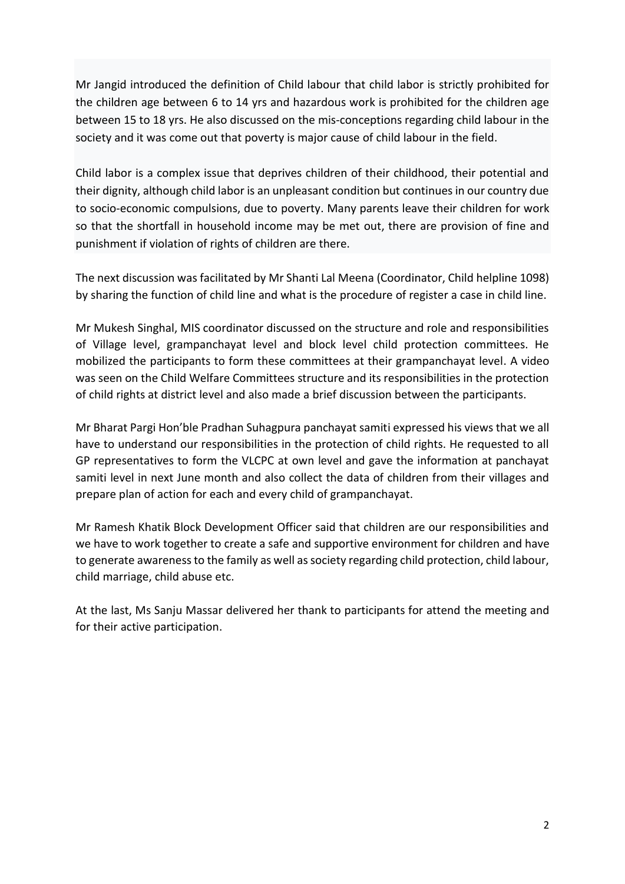Mr Jangid introduced the definition of Child labour that child labor is strictly prohibited for the children age between 6 to 14 yrs and hazardous work is prohibited for the children age between 15 to 18 yrs. He also discussed on the mis-conceptions regarding child labour in the society and it was come out that poverty is major cause of child labour in the field.

Child labor is a complex issue that deprives children of their childhood, their potential and their dignity, although child labor is an unpleasant condition but continues in our country due to socio-economic compulsions, due to poverty. Many parents leave their children for work so that the shortfall in household income may be met out, there are provision of fine and punishment if violation of rights of children are there.

The next discussion was facilitated by Mr Shanti Lal Meena (Coordinator, Child helpline 1098) by sharing the function of child line and what is the procedure of register a case in child line.

Mr Mukesh Singhal, MIS coordinator discussed on the structure and role and responsibilities of Village level, grampanchayat level and block level child protection committees. He mobilized the participants to form these committees at their grampanchayat level. A video was seen on the Child Welfare Committees structure and its responsibilities in the protection of child rights at district level and also made a brief discussion between the participants.

Mr Bharat Pargi Hon'ble Pradhan Suhagpura panchayat samiti expressed his views that we all have to understand our responsibilities in the protection of child rights. He requested to all GP representatives to form the VLCPC at own level and gave the information at panchayat samiti level in next June month and also collect the data of children from their villages and prepare plan of action for each and every child of grampanchayat.

Mr Ramesh Khatik Block Development Officer said that children are our responsibilities and we have to work together to create a safe and supportive environment for children and have to generate awareness to the family as well as society regarding child protection, child labour, child marriage, child abuse etc.

At the last, Ms Sanju Massar delivered her thank to participants for attend the meeting and for their active participation.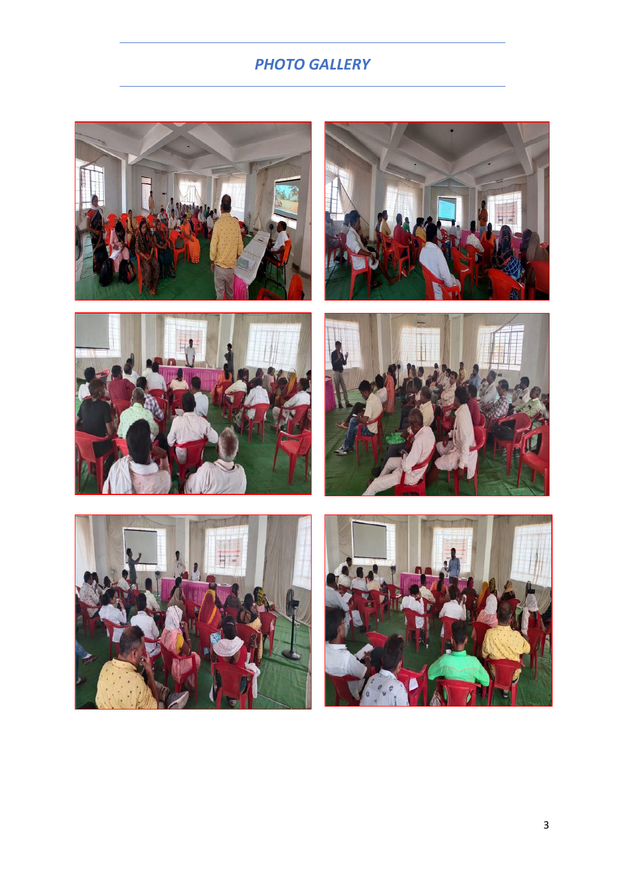## *PHOTO GALLERY*